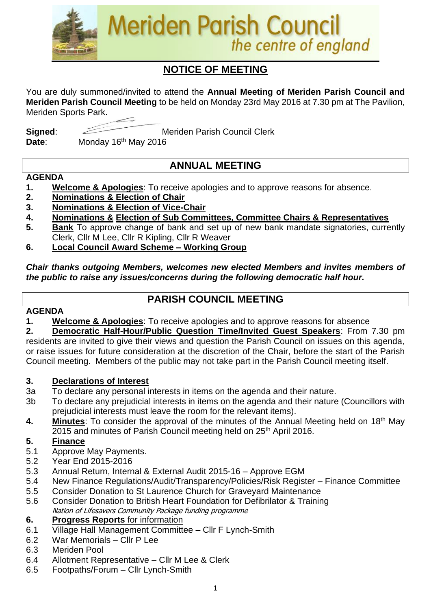

# **NOTICE OF MEETING**

You are duly summoned/invited to attend the **Annual Meeting of Meriden Parish Council and Meriden Parish Council Meeting** to be held on Monday 23rd May 2016 at 7.30 pm at The Pavilion, Meriden Sports Park.

**Signed:** Meriden Parish Council Clerk Date: Monday 16<sup>th</sup> May 2016

# **ANNUAL MEETING**

#### **AGENDA**

- **1. Welcome & Apologies**: To receive apologies and to approve reasons for absence.
- **2. Nominations & Election of Chair**
- **3. Nominations & Election of Vice-Chair**
- **4. Nominations & Election of Sub Committees, Committee Chairs & Representatives**
- **5. Bank** To approve change of bank and set up of new bank mandate signatories, currently Clerk, Cllr M Lee, Cllr R Kipling, Cllr R Weaver
- **6. Local Council Award Scheme – Working Group**

#### *Chair thanks outgoing Members, welcomes new elected Members and invites members of the public to raise any issues/concerns during the following democratic half hour.*

### **PARISH COUNCIL MEETING**

#### **AGENDA**

**1. Welcome & Apologies**: To receive apologies and to approve reasons for absence

**2. Democratic Half-Hour/Public Question Time/Invited Guest Speakers**: From 7.30 pm residents are invited to give their views and question the Parish Council on issues on this agenda, or raise issues for future consideration at the discretion of the Chair, before the start of the Parish Council meeting. Members of the public may not take part in the Parish Council meeting itself.

#### **3. Declarations of Interest**

- 3a To declare any personal interests in items on the agenda and their nature.
- 3b To declare any prejudicial interests in items on the agenda and their nature (Councillors with prejudicial interests must leave the room for the relevant items).
- **4.** Minutes: To consider the approval of the minutes of the Annual Meeting held on 18<sup>th</sup> May 2015 and minutes of Parish Council meeting held on 25<sup>th</sup> April 2016.

#### **5. Finance**

- 5.1 Approve May Payments.
- 5.2 Year End 2015-2016
- 5.3 Annual Return, Internal & External Audit 2015-16 Approve EGM
- 5.4 New Finance Regulations/Audit/Transparency/Policies/Risk Register Finance Committee
- 5.5 Consider Donation to St Laurence Church for Graveyard Maintenance
- 5.6 Consider Donation to British Heart Foundation for Defibrilator & Training Nation of Lifesavers Community Package funding programme

#### **6. Progress Reports** for information

- 6.1 Village Hall Management Committee Cllr F Lynch-Smith
- 6.2 War Memorials Cllr P Lee
- 6.3 Meriden Pool
- 6.4 Allotment Representative Cllr M Lee & Clerk
- 6.5 Footpaths/Forum Cllr Lynch-Smith